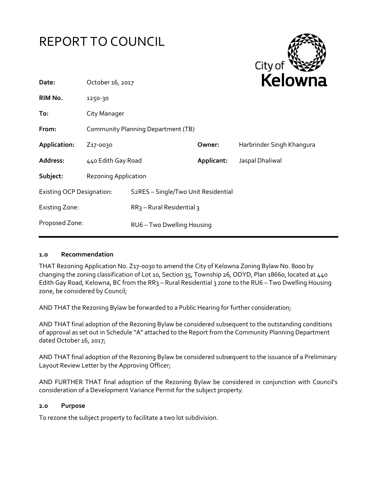



| Date:                            | October 16, 2017                   |                                                  |            | <b>NEIUWH</b>             |  |
|----------------------------------|------------------------------------|--------------------------------------------------|------------|---------------------------|--|
| RIM No.                          | 1250-30                            |                                                  |            |                           |  |
| To:                              | City Manager                       |                                                  |            |                           |  |
| From:                            | Community Planning Department (TB) |                                                  |            |                           |  |
| Application:                     | Z <sub>17</sub> -0030              |                                                  | Owner:     | Harbrinder Singh Khangura |  |
| Address:                         | 440 Edith Gay Road                 |                                                  | Applicant: | Jaspal Dhaliwal           |  |
| Subject:                         | Rezoning Application               |                                                  |            |                           |  |
| <b>Existing OCP Designation:</b> |                                    | S <sub>2</sub> RES - Single/Two Unit Residential |            |                           |  |
| <b>Existing Zone:</b>            |                                    | $RR3$ – Rural Residential 3                      |            |                           |  |
| Proposed Zone:                   |                                    | RU6-Two Dwelling Housing                         |            |                           |  |
|                                  |                                    |                                                  |            |                           |  |

## **1.0 Recommendation**

THAT Rezoning Application No. Z17-0030 to amend the City of Kelowna Zoning Bylaw No. 8000 by changing the zoning classification of Lot 10, Section 35, Township 26, ODYD, Plan 18660, located at 440 Edith Gay Road, Kelowna, BC from the RR3 – Rural Residential 3 zone to the RU6 – Two Dwelling Housing zone, be considered by Council;

AND THAT the Rezoning Bylaw be forwarded to a Public Hearing for further consideration;

AND THAT final adoption of the Rezoning Bylaw be considered subsequent to the outstanding conditions of approval as set out in Schedule "A" attached to the Report from the Community Planning Department dated October 16, 2017;

AND THAT final adoption of the Rezoning Bylaw be considered subsequent to the issuance of a Preliminary Layout Review Letter by the Approving Officer;

AND FURTHER THAT final adoption of the Rezoning Bylaw be considered in conjunction with Council's consideration of a Development Variance Permit for the subject property.

#### **2.0 Purpose**

To rezone the subject property to facilitate a two lot subdivision.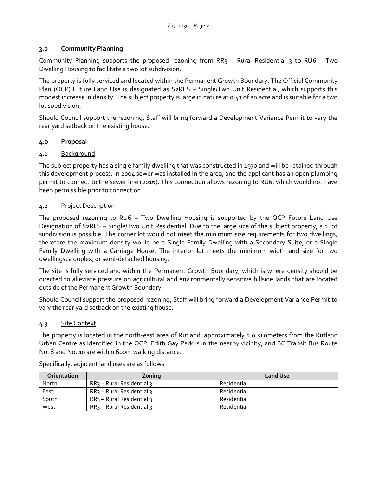## **3.0 Community Planning**

Community Planning supports the proposed rezoning from RR3 – Rural Residential 3 to RU6 – Two Dwelling Housing to facilitate a two lot subdivision.

The property is fully serviced and located within the Permanent Growth Boundary. The Official Community Plan (OCP) Future Land Use is designated as S2RES – Single/Two Unit Residential, which supports this modest increase in density. The subject property is large in nature at 0.41 of an acre and is suitable for a two lot subdivision.

Should Council support the rezoning, Staff will bring forward a Development Variance Permit to vary the rear yard setback on the existing house.

## **4.0 Proposal**

# 4.1 Background

The subject property has a single family dwelling that was constructed in 1970 and will be retained through this development process. In 2004 sewer was installed in the area, and the applicant has an open plumbing permit to connect to the sewer line (2016). This connection allows rezoning to RU6, which would not have been permissible prior to connection.

## 4.2 Project Description

The proposed rezoning to RU6 – Two Dwelling Housing is supported by the OCP Future Land Use Designation of S2RES – Single/Two Unit Residential. Due to the large size of the subject property, a 2 lot subdivision is possible. The corner lot would not meet the minimum size requirements for two dwellings, therefore the maximum density would be a Single Family Dwelling with a Secondary Suite, or a Single Family Dwelling with a Carriage House. The interior lot meets the minimum width and size for two dwellings, a duplex, or semi-detached housing.

The site is fully serviced and within the Permanent Growth Boundary, which is where density should be directed to alleviate pressure on agricultural and environmentally sensitive hillside lands that are located outside of the Permanent Growth Boundary.

Should Council support the proposed rezoning, Staff will bring forward a Development Variance Permit to vary the rear yard setback on the existing house.

# 4.3 Site Context

The property is located in the north-east area of Rutland, approximately 2.0 kilometers from the Rutland Urban Centre as identified in the OCP. Edith Gay Park is in the nearby vicinity, and BC Transit Bus Route No. 8 and No. 10 are within 600m walking distance.

| <b>Orientation</b> | Zoning                     | <b>Land Use</b> |
|--------------------|----------------------------|-----------------|
| North              | $RR3 - Rural Residential3$ | Residential     |
| East               | $RR3 - Rural Residential3$ | Residential     |
| South              | $RR3 - Rural Residential3$ | Residential     |
| West               | $RR3 - Rural Residential3$ | Residential     |

Specifically, adjacent land uses are as follows: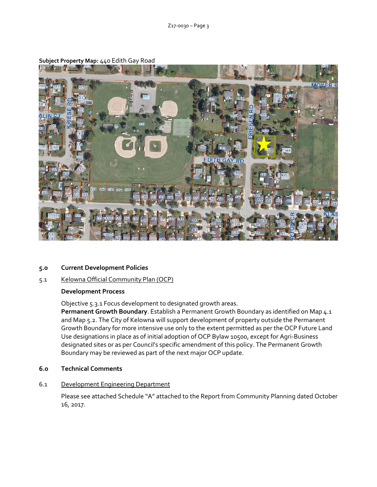

## **Subject Property Map:** 440 Edith Gay Road

#### **5.0 Current Development Policies**

# 5.1 Kelowna Official Community Plan (OCP)

#### **Development Process**

Objective 5.3.1 Focus development to designated growth areas.

**Permanent Growth Boundary**. Establish a Permanent Growth Boundary as identified on Map 4.1 and Map 5.2. The City of Kelowna will support development of property outside the Permanent Growth Boundary for more intensive use only to the extent permitted as per the OCP Future Land Use designations in place as of initial adoption of OCP Bylaw 10500, except for Agri-Business designated sites or as per Council's specific amendment of this policy. The Permanent Growth Boundary may be reviewed as part of the next major OCP update.

**6.0 Technical Comments**

#### 6.1 Development Engineering Department

Please see attached Schedule "A" attached to the Report from Community Planning dated October 16, 2017.